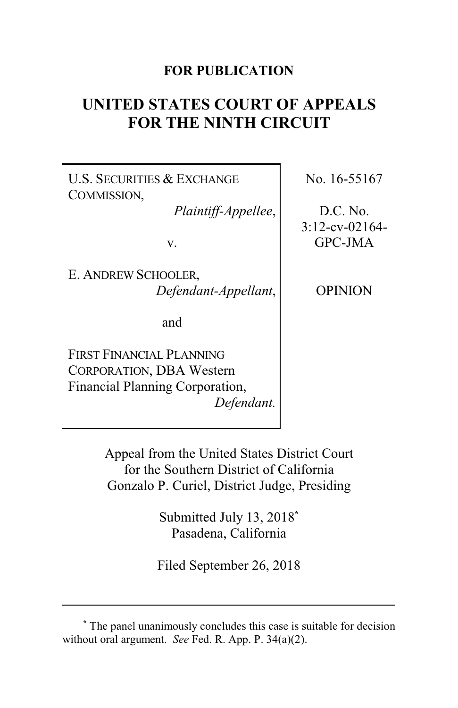## **FOR PUBLICATION**

# **UNITED STATES COURT OF APPEALS FOR THE NINTH CIRCUIT**

U.S. SECURITIES & EXCHANGE COMMISSION,

*Plaintiff-Appellee*,

v.

E. ANDREW SCHOOLER, *Defendant-Appellant*,

and

FIRST FINANCIAL PLANNING CORPORATION, DBA Western Financial Planning Corporation, *Defendant.* No. 16-55167

D.C. No. 3:12-cv-02164- GPC-JMA

OPINION

Appeal from the United States District Court for the Southern District of California Gonzalo P. Curiel, District Judge, Presiding

> Submitted July 13, 2018**\*** Pasadena, California

Filed September 26, 2018

**<sup>\*</sup>** The panel unanimously concludes this case is suitable for decision without oral argument. *See* Fed. R. App. P. 34(a)(2).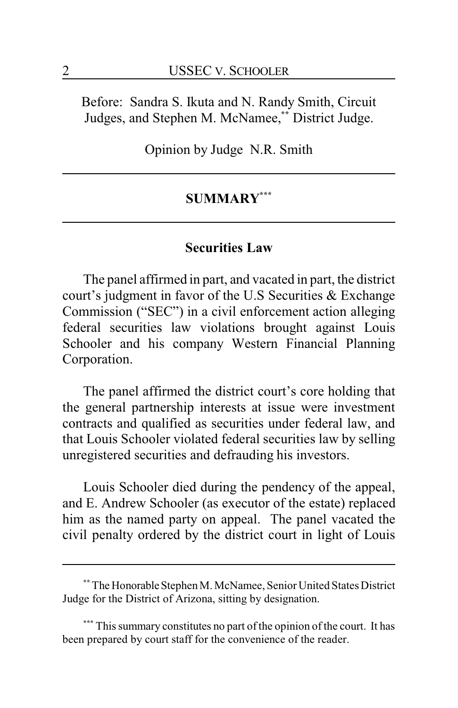Before: Sandra S. Ikuta and N. Randy Smith, Circuit Judges, and Stephen M. McNamee,**\*\*** District Judge.

Opinion by Judge N.R. Smith

## **SUMMARY\*\*\***

## **Securities Law**

The panel affirmed in part, and vacated in part, the district court's judgment in favor of the U.S Securities & Exchange Commission ("SEC") in a civil enforcement action alleging federal securities law violations brought against Louis Schooler and his company Western Financial Planning Corporation.

The panel affirmed the district court's core holding that the general partnership interests at issue were investment contracts and qualified as securities under federal law, and that Louis Schooler violated federal securities law by selling unregistered securities and defrauding his investors.

Louis Schooler died during the pendency of the appeal, and E. Andrew Schooler (as executor of the estate) replaced him as the named party on appeal. The panel vacated the civil penalty ordered by the district court in light of Louis

<sup>\*\*</sup> The Honorable Stephen M. McNamee, Senior United States District Judge for the District of Arizona, sitting by designation.

**<sup>\*\*\*</sup>** This summary constitutes no part of the opinion of the court. It has been prepared by court staff for the convenience of the reader.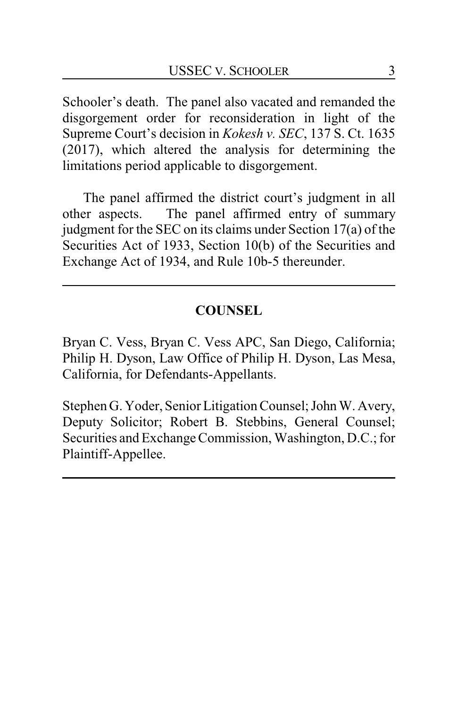Schooler's death. The panel also vacated and remanded the disgorgement order for reconsideration in light of the Supreme Court's decision in *Kokesh v. SEC*, 137 S. Ct. 1635 (2017), which altered the analysis for determining the limitations period applicable to disgorgement.

The panel affirmed the district court's judgment in all other aspects. The panel affirmed entry of summary judgment for the SEC on its claims under Section 17(a) of the Securities Act of 1933, Section 10(b) of the Securities and Exchange Act of 1934, and Rule 10b-5 thereunder.

## **COUNSEL**

Bryan C. Vess, Bryan C. Vess APC, San Diego, California; Philip H. Dyson, Law Office of Philip H. Dyson, Las Mesa, California, for Defendants-Appellants.

Stephen G. Yoder, Senior Litigation Counsel; John W. Avery, Deputy Solicitor; Robert B. Stebbins, General Counsel; Securities and Exchange Commission, Washington, D.C.; for Plaintiff-Appellee.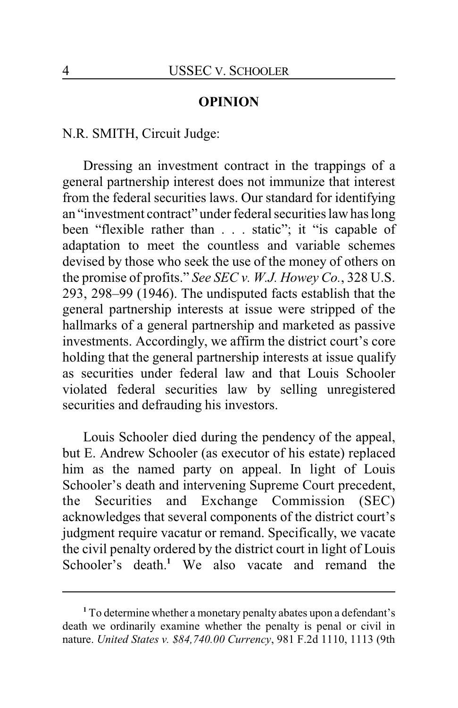#### **OPINION**

N.R. SMITH, Circuit Judge:

Dressing an investment contract in the trappings of a general partnership interest does not immunize that interest from the federal securities laws. Our standard for identifying an "investment contract" under federal securities law has long been "flexible rather than . . . static"; it "is capable of adaptation to meet the countless and variable schemes devised by those who seek the use of the money of others on the promise of profits." *See SEC v. W.J. Howey Co.*, 328 U.S. 293, 298–99 (1946). The undisputed facts establish that the general partnership interests at issue were stripped of the hallmarks of a general partnership and marketed as passive investments. Accordingly, we affirm the district court's core holding that the general partnership interests at issue qualify as securities under federal law and that Louis Schooler violated federal securities law by selling unregistered securities and defrauding his investors.

Louis Schooler died during the pendency of the appeal, but E. Andrew Schooler (as executor of his estate) replaced him as the named party on appeal. In light of Louis Schooler's death and intervening Supreme Court precedent, the Securities and Exchange Commission (SEC) acknowledges that several components of the district court's judgment require vacatur or remand. Specifically, we vacate the civil penalty ordered by the district court in light of Louis Schooler's death.<sup>1</sup> We also vacate and remand the

**<sup>1</sup>** To determine whether a monetary penalty abates upon a defendant's death we ordinarily examine whether the penalty is penal or civil in nature. *United States v. \$84,740.00 Currency*, 981 F.2d 1110, 1113 (9th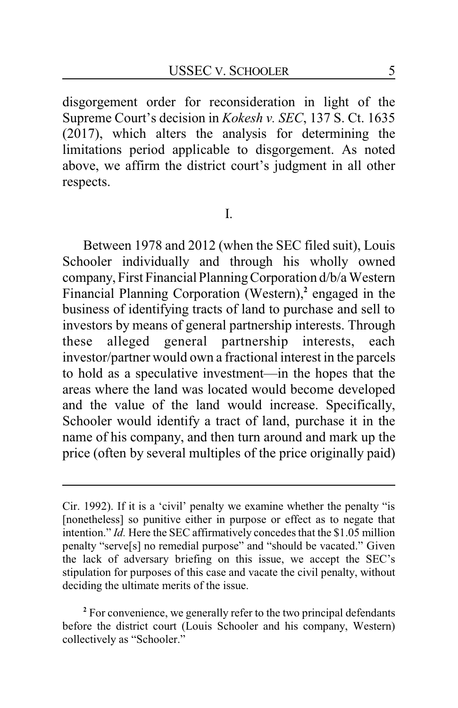disgorgement order for reconsideration in light of the Supreme Court's decision in *Kokesh v. SEC*, 137 S. Ct. 1635 (2017), which alters the analysis for determining the limitations period applicable to disgorgement. As noted above, we affirm the district court's judgment in all other respects.

I.

Between 1978 and 2012 (when the SEC filed suit), Louis Schooler individually and through his wholly owned company, First Financial PlanningCorporation d/b/a Western Financial Planning Corporation (Western),**<sup>2</sup>** engaged in the business of identifying tracts of land to purchase and sell to investors by means of general partnership interests. Through these alleged general partnership interests, each investor/partner would own a fractional interest in the parcels to hold as a speculative investment—in the hopes that the areas where the land was located would become developed and the value of the land would increase. Specifically, Schooler would identify a tract of land, purchase it in the name of his company, and then turn around and mark up the price (often by several multiples of the price originally paid)

**<sup>2</sup>** For convenience, we generally refer to the two principal defendants before the district court (Louis Schooler and his company, Western) collectively as "Schooler."

Cir. 1992). If it is a 'civil' penalty we examine whether the penalty "is [nonetheless] so punitive either in purpose or effect as to negate that intention." *Id.* Here the SEC affirmatively concedes that the \$1.05 million penalty "serve[s] no remedial purpose" and "should be vacated." Given the lack of adversary briefing on this issue, we accept the SEC's stipulation for purposes of this case and vacate the civil penalty, without deciding the ultimate merits of the issue.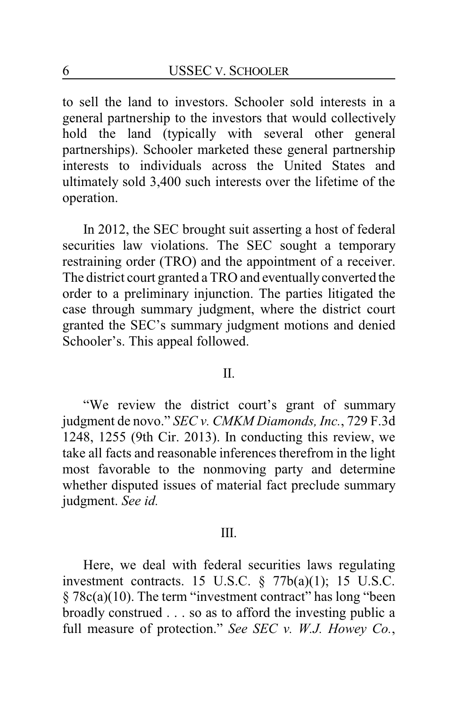to sell the land to investors. Schooler sold interests in a general partnership to the investors that would collectively hold the land (typically with several other general partnerships). Schooler marketed these general partnership interests to individuals across the United States and ultimately sold 3,400 such interests over the lifetime of the operation.

In 2012, the SEC brought suit asserting a host of federal securities law violations. The SEC sought a temporary restraining order (TRO) and the appointment of a receiver. The district court granted a TRO and eventually converted the order to a preliminary injunction. The parties litigated the case through summary judgment, where the district court granted the SEC's summary judgment motions and denied Schooler's. This appeal followed.

#### II.

"We review the district court's grant of summary judgment de novo." *SEC v. CMKM Diamonds, Inc.*, 729 F.3d 1248, 1255 (9th Cir. 2013). In conducting this review, we take all facts and reasonable inferences therefrom in the light most favorable to the nonmoving party and determine whether disputed issues of material fact preclude summary judgment. *See id.*

#### III.

Here, we deal with federal securities laws regulating investment contracts. 15 U.S.C.  $\S$  77b(a)(1); 15 U.S.C. § 78c(a)(10). The term "investment contract" has long "been broadly construed . . . so as to afford the investing public a full measure of protection." *See SEC v. W.J. Howey Co.*,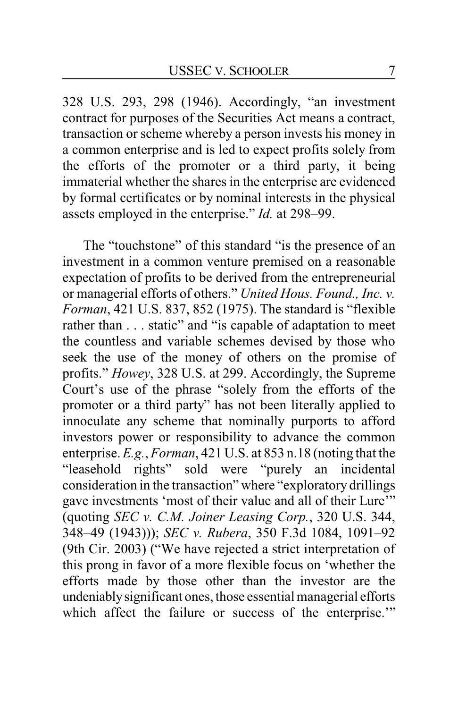328 U.S. 293, 298 (1946). Accordingly, "an investment contract for purposes of the Securities Act means a contract, transaction or scheme whereby a person invests his money in a common enterprise and is led to expect profits solely from the efforts of the promoter or a third party, it being immaterial whether the shares in the enterprise are evidenced by formal certificates or by nominal interests in the physical assets employed in the enterprise." *Id.* at 298–99.

The "touchstone" of this standard "is the presence of an investment in a common venture premised on a reasonable expectation of profits to be derived from the entrepreneurial or managerial efforts of others." *United Hous. Found., Inc. v. Forman*, 421 U.S. 837, 852 (1975). The standard is "flexible rather than . . . static" and "is capable of adaptation to meet the countless and variable schemes devised by those who seek the use of the money of others on the promise of profits." *Howey*, 328 U.S. at 299. Accordingly, the Supreme Court's use of the phrase "solely from the efforts of the promoter or a third party" has not been literally applied to innoculate any scheme that nominally purports to afford investors power or responsibility to advance the common enterprise. *E.g.*, *Forman*, 421 U.S. at 853 n.18 (noting that the "leasehold rights" sold were "purely an incidental consideration in the transaction" where "exploratory drillings gave investments 'most of their value and all of their Lure'" (quoting *SEC v. C.M. Joiner Leasing Corp.*, 320 U.S. 344, 348–49 (1943))); *SEC v. Rubera*, 350 F.3d 1084, 1091–92 (9th Cir. 2003) ("We have rejected a strict interpretation of this prong in favor of a more flexible focus on 'whether the efforts made by those other than the investor are the undeniablysignificant ones, those essential managerial efforts which affect the failure or success of the enterprise."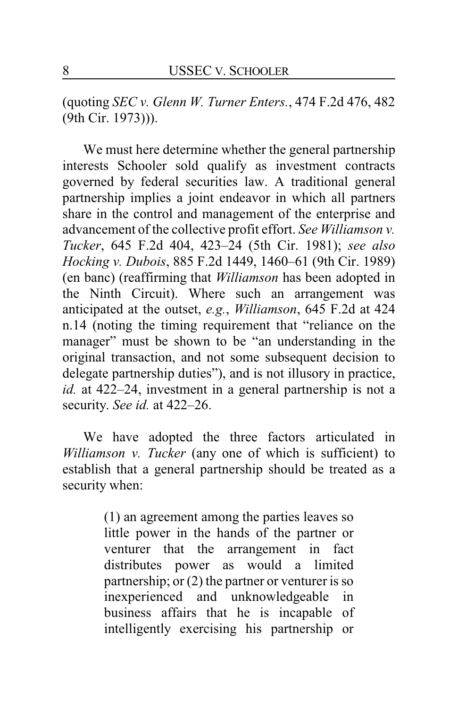(quoting *SEC v. Glenn W. Turner Enters.*, 474 F.2d 476, 482 (9th Cir. 1973))).

We must here determine whether the general partnership interests Schooler sold qualify as investment contracts governed by federal securities law. A traditional general partnership implies a joint endeavor in which all partners share in the control and management of the enterprise and advancement of the collective profit effort. *See Williamson v. Tucker*, 645 F.2d 404, 423–24 (5th Cir. 1981); *see also Hocking v. Dubois*, 885 F.2d 1449, 1460–61 (9th Cir. 1989) (en banc) (reaffirming that *Williamson* has been adopted in the Ninth Circuit). Where such an arrangement was anticipated at the outset, *e.g.*, *Williamson*, 645 F.2d at 424 n.14 (noting the timing requirement that "reliance on the manager" must be shown to be "an understanding in the original transaction, and not some subsequent decision to delegate partnership duties"), and is not illusory in practice, *id.* at 422–24, investment in a general partnership is not a security. *See id.* at 422–26.

We have adopted the three factors articulated in *Williamson v. Tucker* (any one of which is sufficient) to establish that a general partnership should be treated as a security when:

> (1) an agreement among the parties leaves so little power in the hands of the partner or venturer that the arrangement in fact distributes power as would a limited partnership; or (2) the partner or venturer is so inexperienced and unknowledgeable in business affairs that he is incapable of intelligently exercising his partnership or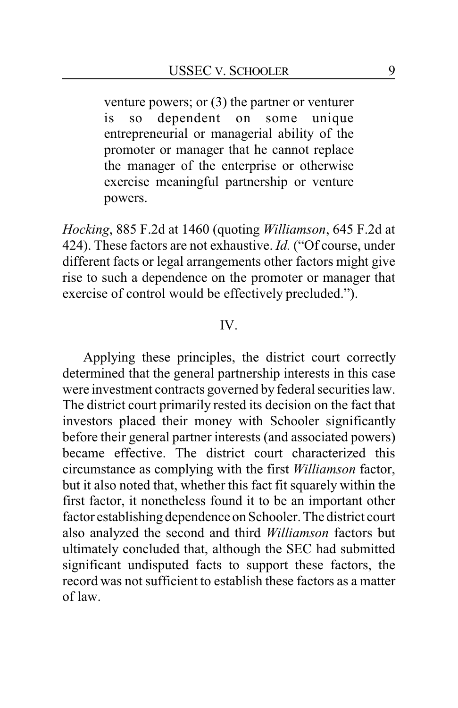venture powers; or (3) the partner or venturer is so dependent on some unique entrepreneurial or managerial ability of the promoter or manager that he cannot replace the manager of the enterprise or otherwise exercise meaningful partnership or venture powers.

*Hocking*, 885 F.2d at 1460 (quoting *Williamson*, 645 F.2d at 424). These factors are not exhaustive. *Id.* ("Of course, under different facts or legal arrangements other factors might give rise to such a dependence on the promoter or manager that exercise of control would be effectively precluded.").

## IV.

Applying these principles, the district court correctly determined that the general partnership interests in this case were investment contracts governed by federal securities law. The district court primarily rested its decision on the fact that investors placed their money with Schooler significantly before their general partner interests (and associated powers) became effective. The district court characterized this circumstance as complying with the first *Williamson* factor, but it also noted that, whether this fact fit squarely within the first factor, it nonetheless found it to be an important other factor establishing dependence on Schooler. The district court also analyzed the second and third *Williamson* factors but ultimately concluded that, although the SEC had submitted significant undisputed facts to support these factors, the record was not sufficient to establish these factors as a matter of law.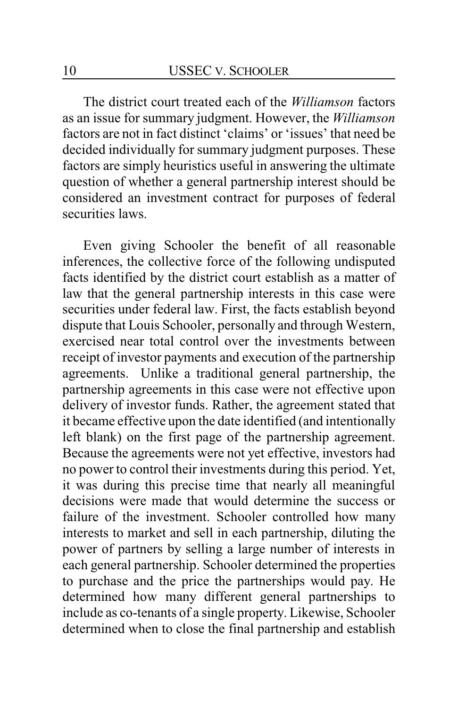The district court treated each of the *Williamson* factors as an issue for summary judgment. However, the *Williamson* factors are not in fact distinct 'claims' or 'issues' that need be decided individually for summary judgment purposes. These factors are simply heuristics useful in answering the ultimate question of whether a general partnership interest should be considered an investment contract for purposes of federal securities laws.

Even giving Schooler the benefit of all reasonable inferences, the collective force of the following undisputed facts identified by the district court establish as a matter of law that the general partnership interests in this case were securities under federal law. First, the facts establish beyond dispute that Louis Schooler, personally and through Western, exercised near total control over the investments between receipt of investor payments and execution of the partnership agreements. Unlike a traditional general partnership, the partnership agreements in this case were not effective upon delivery of investor funds. Rather, the agreement stated that it became effective upon the date identified (and intentionally left blank) on the first page of the partnership agreement. Because the agreements were not yet effective, investors had no power to control their investments during this period. Yet, it was during this precise time that nearly all meaningful decisions were made that would determine the success or failure of the investment. Schooler controlled how many interests to market and sell in each partnership, diluting the power of partners by selling a large number of interests in each general partnership. Schooler determined the properties to purchase and the price the partnerships would pay. He determined how many different general partnerships to include as co-tenants of a single property. Likewise, Schooler determined when to close the final partnership and establish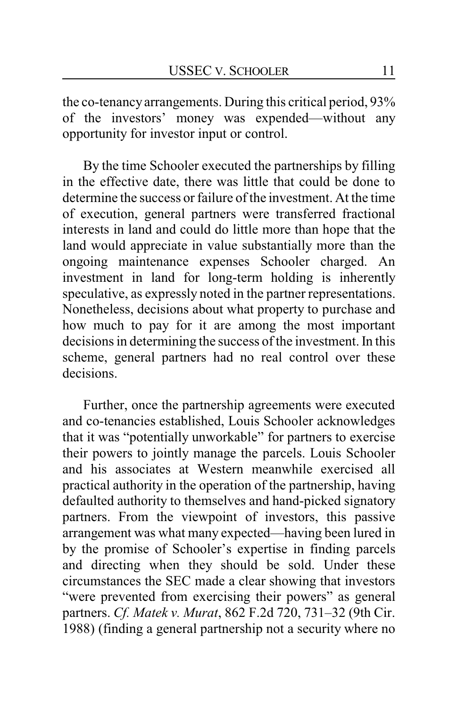the co-tenancyarrangements. During this critical period, 93% of the investors' money was expended—without any opportunity for investor input or control.

By the time Schooler executed the partnerships by filling in the effective date, there was little that could be done to determine the success or failure of the investment. At the time of execution, general partners were transferred fractional interests in land and could do little more than hope that the land would appreciate in value substantially more than the ongoing maintenance expenses Schooler charged. An investment in land for long-term holding is inherently speculative, as expressly noted in the partner representations. Nonetheless, decisions about what property to purchase and how much to pay for it are among the most important decisions in determining the success of the investment. In this scheme, general partners had no real control over these decisions.

Further, once the partnership agreements were executed and co-tenancies established, Louis Schooler acknowledges that it was "potentially unworkable" for partners to exercise their powers to jointly manage the parcels. Louis Schooler and his associates at Western meanwhile exercised all practical authority in the operation of the partnership, having defaulted authority to themselves and hand-picked signatory partners. From the viewpoint of investors, this passive arrangement was what many expected—having been lured in by the promise of Schooler's expertise in finding parcels and directing when they should be sold. Under these circumstances the SEC made a clear showing that investors "were prevented from exercising their powers" as general partners. *Cf. Matek v. Murat*, 862 F.2d 720, 731–32 (9th Cir. 1988) (finding a general partnership not a security where no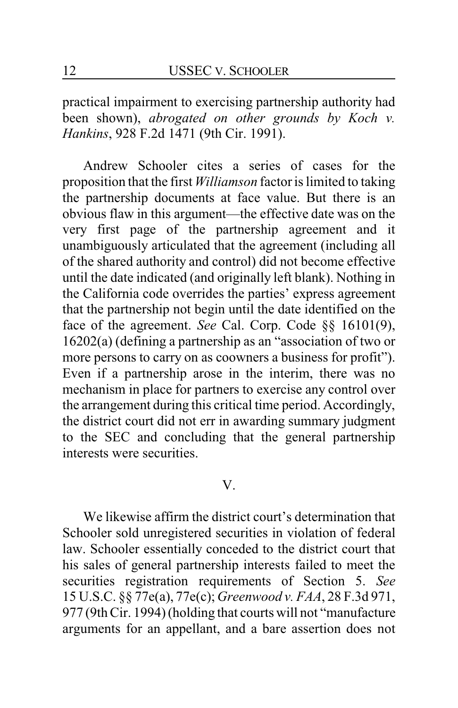practical impairment to exercising partnership authority had been shown), *abrogated on other grounds by Koch v. Hankins*, 928 F.2d 1471 (9th Cir. 1991).

Andrew Schooler cites a series of cases for the proposition that the first *Williamson* factor is limited to taking the partnership documents at face value. But there is an obvious flaw in this argument—the effective date was on the very first page of the partnership agreement and it unambiguously articulated that the agreement (including all of the shared authority and control) did not become effective until the date indicated (and originally left blank). Nothing in the California code overrides the parties' express agreement that the partnership not begin until the date identified on the face of the agreement. *See* Cal. Corp. Code §§ 16101(9), 16202(a) (defining a partnership as an "association of two or more persons to carry on as coowners a business for profit"). Even if a partnership arose in the interim, there was no mechanism in place for partners to exercise any control over the arrangement during this critical time period. Accordingly, the district court did not err in awarding summary judgment to the SEC and concluding that the general partnership interests were securities.

#### V.

We likewise affirm the district court's determination that Schooler sold unregistered securities in violation of federal law. Schooler essentially conceded to the district court that his sales of general partnership interests failed to meet the securities registration requirements of Section 5. *See* 15 U.S.C. §§ 77e(a), 77e(c); *Greenwood v. FAA*, 28 F.3d 971, 977 (9th Cir. 1994) (holding that courts will not "manufacture arguments for an appellant, and a bare assertion does not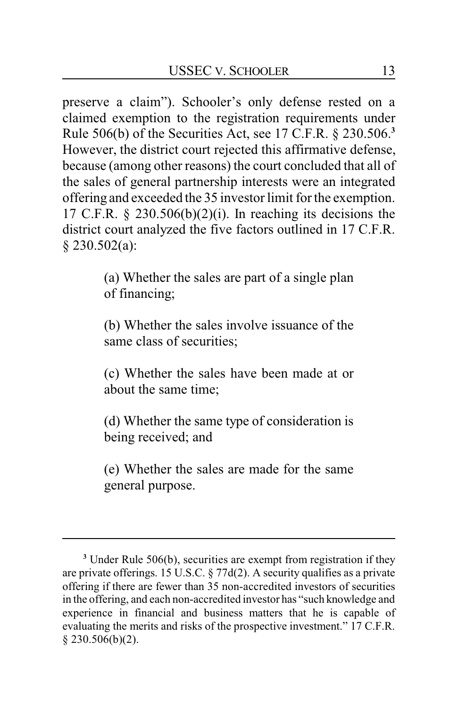preserve a claim"). Schooler's only defense rested on a claimed exemption to the registration requirements under Rule 506(b) of the Securities Act, see 17 C.F.R. § 230.506.**<sup>3</sup>** However, the district court rejected this affirmative defense, because (among other reasons) the court concluded that all of the sales of general partnership interests were an integrated offering and exceeded the 35 investor limit for the exemption. 17 C.F.R.  $\S$  230.506(b)(2)(i). In reaching its decisions the district court analyzed the five factors outlined in 17 C.F.R. § 230.502(a):

> (a) Whether the sales are part of a single plan of financing;

> (b) Whether the sales involve issuance of the same class of securities;

> (c) Whether the sales have been made at or about the same time;

> (d) Whether the same type of consideration is being received; and

> (e) Whether the sales are made for the same general purpose.

**<sup>3</sup>** Under Rule 506(b), securities are exempt from registration if they are private offerings. 15 U.S.C. § 77d(2). A security qualifies as a private offering if there are fewer than 35 non-accredited investors of securities in the offering, and each non-accredited investor has "such knowledge and experience in financial and business matters that he is capable of evaluating the merits and risks of the prospective investment." 17 C.F.R.  $§$  230.506(b)(2).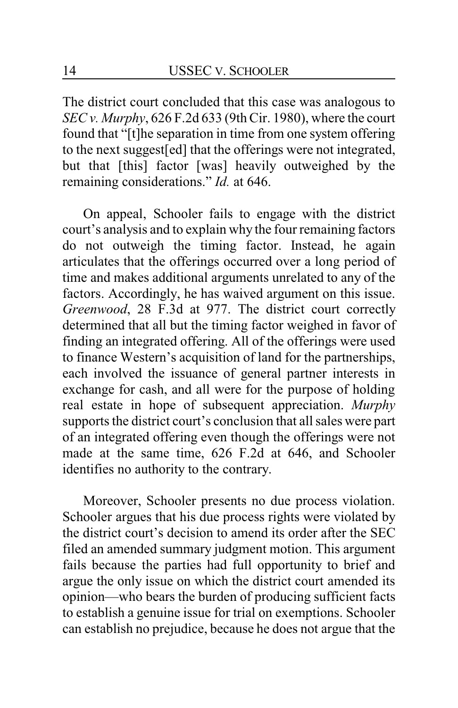The district court concluded that this case was analogous to *SEC v. Murphy*, 626 F.2d 633 (9th Cir. 1980), where the court found that "[t]he separation in time from one system offering to the next suggest[ed] that the offerings were not integrated, but that [this] factor [was] heavily outweighed by the remaining considerations." *Id.* at 646.

On appeal, Schooler fails to engage with the district court's analysis and to explain why the four remaining factors do not outweigh the timing factor. Instead, he again articulates that the offerings occurred over a long period of time and makes additional arguments unrelated to any of the factors. Accordingly, he has waived argument on this issue. *Greenwood*, 28 F.3d at 977. The district court correctly determined that all but the timing factor weighed in favor of finding an integrated offering. All of the offerings were used to finance Western's acquisition of land for the partnerships, each involved the issuance of general partner interests in exchange for cash, and all were for the purpose of holding real estate in hope of subsequent appreciation. *Murphy* supports the district court's conclusion that all sales were part of an integrated offering even though the offerings were not made at the same time, 626 F.2d at 646, and Schooler identifies no authority to the contrary.

Moreover, Schooler presents no due process violation. Schooler argues that his due process rights were violated by the district court's decision to amend its order after the SEC filed an amended summary judgment motion. This argument fails because the parties had full opportunity to brief and argue the only issue on which the district court amended its opinion—who bears the burden of producing sufficient facts to establish a genuine issue for trial on exemptions. Schooler can establish no prejudice, because he does not argue that the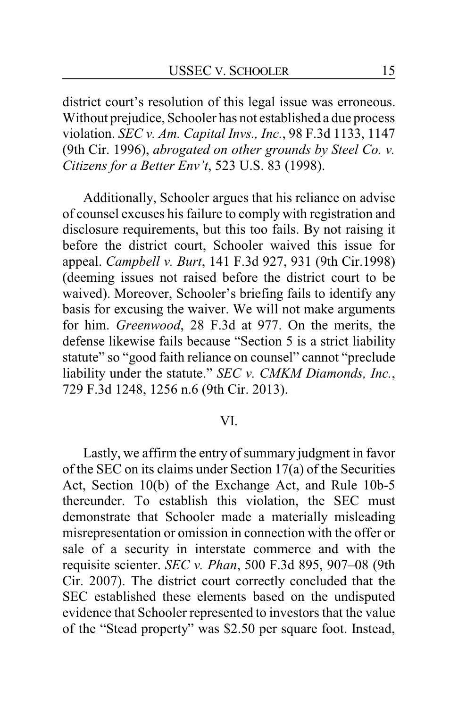district court's resolution of this legal issue was erroneous. Without prejudice, Schooler has not established a due process violation. *SEC v. Am. Capital Invs., Inc.*, 98 F.3d 1133, 1147 (9th Cir. 1996), *abrogated on other grounds by Steel Co. v. Citizens for a Better Env't*, 523 U.S. 83 (1998).

Additionally, Schooler argues that his reliance on advise of counsel excuses his failure to comply with registration and disclosure requirements, but this too fails. By not raising it before the district court, Schooler waived this issue for appeal. *Campbell v. Burt*, 141 F.3d 927, 931 (9th Cir.1998) (deeming issues not raised before the district court to be waived). Moreover, Schooler's briefing fails to identify any basis for excusing the waiver. We will not make arguments for him. *Greenwood*, 28 F.3d at 977. On the merits, the defense likewise fails because "Section 5 is a strict liability statute" so "good faith reliance on counsel" cannot "preclude liability under the statute." *SEC v. CMKM Diamonds, Inc.*, 729 F.3d 1248, 1256 n.6 (9th Cir. 2013).

#### VI.

Lastly, we affirm the entry of summary judgment in favor of the SEC on its claims under Section 17(a) of the Securities Act, Section 10(b) of the Exchange Act, and Rule 10b-5 thereunder. To establish this violation, the SEC must demonstrate that Schooler made a materially misleading misrepresentation or omission in connection with the offer or sale of a security in interstate commerce and with the requisite scienter. *SEC v. Phan*, 500 F.3d 895, 907–08 (9th Cir. 2007). The district court correctly concluded that the SEC established these elements based on the undisputed evidence that Schooler represented to investors that the value of the "Stead property" was \$2.50 per square foot. Instead,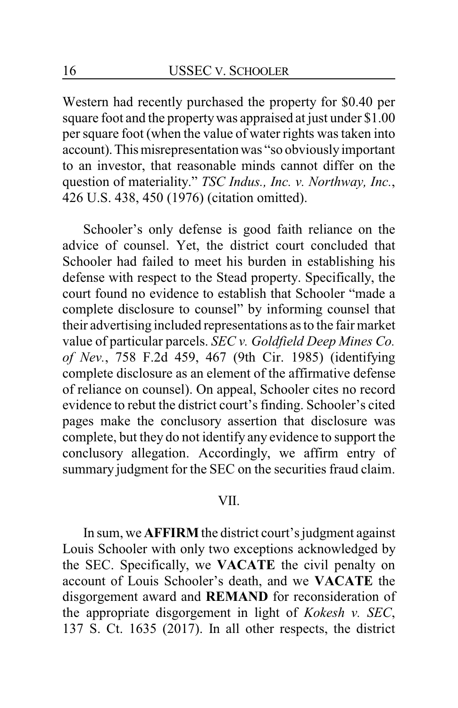Western had recently purchased the property for \$0.40 per square foot and the propertywas appraised at just under \$1.00 per square foot (when the value of water rights was taken into account). This misrepresentation was "so obviously important to an investor, that reasonable minds cannot differ on the question of materiality." *TSC Indus., Inc. v. Northway, Inc.*, 426 U.S. 438, 450 (1976) (citation omitted).

Schooler's only defense is good faith reliance on the advice of counsel. Yet, the district court concluded that Schooler had failed to meet his burden in establishing his defense with respect to the Stead property. Specifically, the court found no evidence to establish that Schooler "made a complete disclosure to counsel" by informing counsel that their advertising included representations as to the fair market value of particular parcels. *SEC v. Goldfield Deep Mines Co. of Nev.*, 758 F.2d 459, 467 (9th Cir. 1985) (identifying complete disclosure as an element of the affirmative defense of reliance on counsel). On appeal, Schooler cites no record evidence to rebut the district court's finding. Schooler's cited pages make the conclusory assertion that disclosure was complete, but they do not identify any evidence to support the conclusory allegation. Accordingly, we affirm entry of summary judgment for the SEC on the securities fraud claim.

#### VII.

In sum, we **AFFIRM** the district court's judgment against Louis Schooler with only two exceptions acknowledged by the SEC. Specifically, we **VACATE** the civil penalty on account of Louis Schooler's death, and we **VACATE** the disgorgement award and **REMAND** for reconsideration of the appropriate disgorgement in light of *Kokesh v. SEC*, 137 S. Ct. 1635 (2017). In all other respects, the district